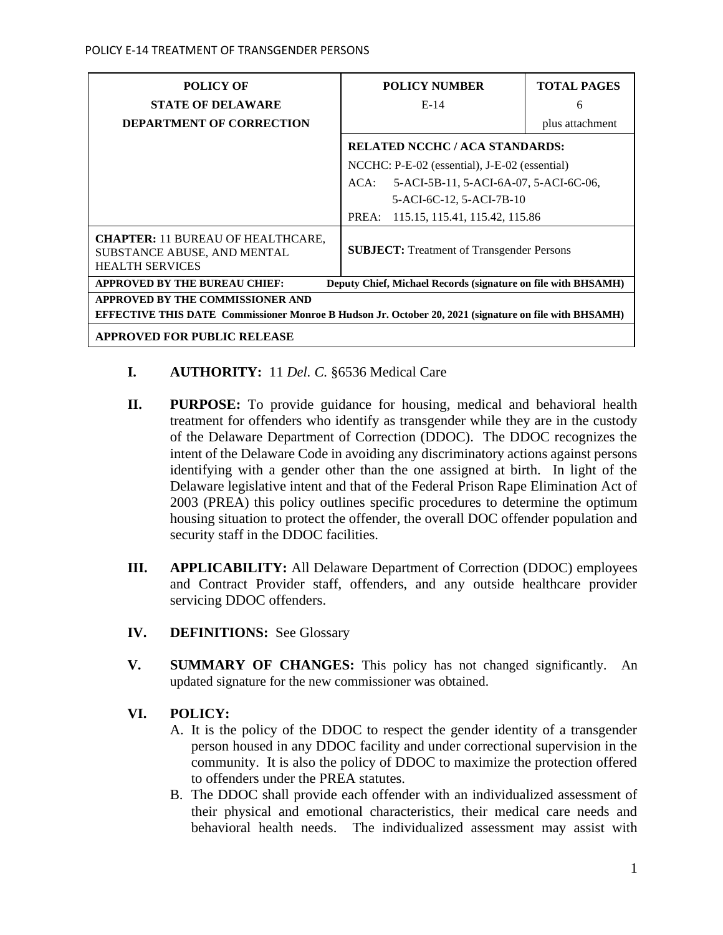| <b>POLICY OF</b>                                                                                             | <b>POLICY NUMBER</b>                              | <b>TOTAL PAGES</b> |  |  |
|--------------------------------------------------------------------------------------------------------------|---------------------------------------------------|--------------------|--|--|
| <b>STATE OF DELAWARE</b>                                                                                     | $E-14$                                            | 6                  |  |  |
| <b>DEPARTMENT OF CORRECTION</b>                                                                              |                                                   | plus attachment    |  |  |
|                                                                                                              | <b>RELATED NCCHC/ACA STANDARDS:</b>               |                    |  |  |
|                                                                                                              | NCCHC: P-E-02 (essential), J-E-02 (essential)     |                    |  |  |
|                                                                                                              | 5-ACI-5B-11, 5-ACI-6A-07, 5-ACI-6C-06,<br>$ACA$ : |                    |  |  |
|                                                                                                              | 5-ACI-6C-12, 5-ACI-7B-10                          |                    |  |  |
|                                                                                                              | 115.15, 115.41, 115.42, 115.86<br>PREA:           |                    |  |  |
| <b>CHAPTER: 11 BUREAU OF HEALTHCARE,</b><br>SUBSTANCE ABUSE, AND MENTAL<br><b>HEALTH SERVICES</b>            | <b>SUBJECT:</b> Treatment of Transgender Persons  |                    |  |  |
| <b>APPROVED BY THE BUREAU CHIEF:</b><br>Deputy Chief, Michael Records (signature on file with BHSAMH)        |                                                   |                    |  |  |
| APPROVED BY THE COMMISSIONER AND                                                                             |                                                   |                    |  |  |
| <b>EFFECTIVE THIS DATE Commissioner Monroe B Hudson Jr. October 20, 2021 (signature on file with BHSAMH)</b> |                                                   |                    |  |  |
| <b>APPROVED FOR PUBLIC RELEASE</b>                                                                           |                                                   |                    |  |  |

## **I. AUTHORITY:** 11 *Del. C.* §6536 Medical Care

- **II. PURPOSE:** To provide guidance for housing, medical and behavioral health treatment for offenders who identify as transgender while they are in the custody of the Delaware Department of Correction (DDOC). The DDOC recognizes the intent of the Delaware Code in avoiding any discriminatory actions against persons identifying with a gender other than the one assigned at birth. In light of the Delaware legislative intent and that of the Federal Prison Rape Elimination Act of 2003 (PREA) this policy outlines specific procedures to determine the optimum housing situation to protect the offender, the overall DOC offender population and security staff in the DDOC facilities.
- **III. APPLICABILITY:** All Delaware Department of Correction (DDOC) employees and Contract Provider staff, offenders, and any outside healthcare provider servicing DDOC offenders.
- **IV. DEFINITIONS:** See Glossary
- **V. SUMMARY OF CHANGES:** This policy has not changed significantly. An updated signature for the new commissioner was obtained.

## **VI. POLICY:**

- A. It is the policy of the DDOC to respect the gender identity of a transgender person housed in any DDOC facility and under correctional supervision in the community. It is also the policy of DDOC to maximize the protection offered to offenders under the PREA statutes.
- B. The DDOC shall provide each offender with an individualized assessment of their physical and emotional characteristics, their medical care needs and behavioral health needs. The individualized assessment may assist with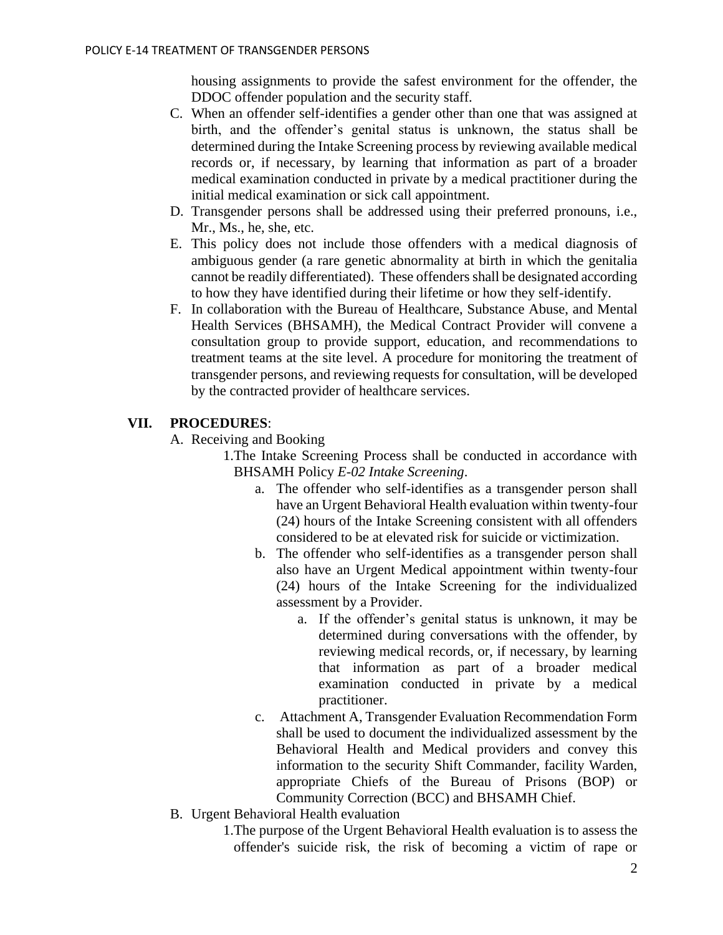housing assignments to provide the safest environment for the offender, the DDOC offender population and the security staff.

- C. When an offender self-identifies a gender other than one that was assigned at birth, and the offender's genital status is unknown, the status shall be determined during the Intake Screening process by reviewing available medical records or, if necessary, by learning that information as part of a broader medical examination conducted in private by a medical practitioner during the initial medical examination or sick call appointment.
- D. Transgender persons shall be addressed using their preferred pronouns, i.e., Mr., Ms., he, she, etc.
- E. This policy does not include those offenders with a medical diagnosis of ambiguous gender (a rare genetic abnormality at birth in which the genitalia cannot be readily differentiated). These offenders shall be designated according to how they have identified during their lifetime or how they self-identify.
- F. In collaboration with the Bureau of Healthcare, Substance Abuse, and Mental Health Services (BHSAMH), the Medical Contract Provider will convene a consultation group to provide support, education, and recommendations to treatment teams at the site level. A procedure for monitoring the treatment of transgender persons, and reviewing requests for consultation, will be developed by the contracted provider of healthcare services.

# **VII. PROCEDURES**:

- A. Receiving and Booking
	- 1.The Intake Screening Process shall be conducted in accordance with BHSAMH Policy *E-02 Intake Screening*.
		- a. The offender who self-identifies as a transgender person shall have an Urgent Behavioral Health evaluation within twenty-four (24) hours of the Intake Screening consistent with all offenders considered to be at elevated risk for suicide or victimization.
		- b. The offender who self-identifies as a transgender person shall also have an Urgent Medical appointment within twenty-four (24) hours of the Intake Screening for the individualized assessment by a Provider.
			- a. If the offender's genital status is unknown, it may be determined during conversations with the offender, by reviewing medical records, or, if necessary, by learning that information as part of a broader medical examination conducted in private by a medical practitioner.
		- c. Attachment A, Transgender Evaluation Recommendation Form shall be used to document the individualized assessment by the Behavioral Health and Medical providers and convey this information to the security Shift Commander, facility Warden, appropriate Chiefs of the Bureau of Prisons (BOP) or Community Correction (BCC) and BHSAMH Chief.
- B. Urgent Behavioral Health evaluation
	- 1.The purpose of the Urgent Behavioral Health evaluation is to assess the offender's suicide risk, the risk of becoming a victim of rape or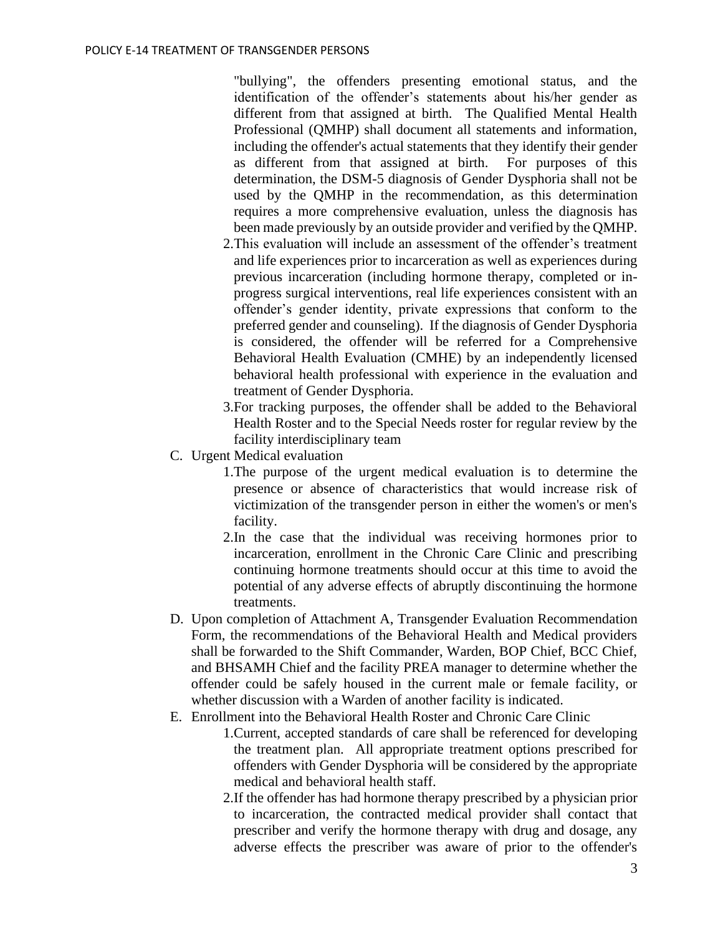"bullying", the offenders presenting emotional status, and the identification of the offender's statements about his/her gender as different from that assigned at birth. The Qualified Mental Health Professional (QMHP) shall document all statements and information, including the offender's actual statements that they identify their gender as different from that assigned at birth. For purposes of this determination, the DSM-5 diagnosis of Gender Dysphoria shall not be used by the QMHP in the recommendation, as this determination requires a more comprehensive evaluation, unless the diagnosis has been made previously by an outside provider and verified by the QMHP.

- 2.This evaluation will include an assessment of the offender's treatment and life experiences prior to incarceration as well as experiences during previous incarceration (including hormone therapy, completed or inprogress surgical interventions, real life experiences consistent with an offender's gender identity, private expressions that conform to the preferred gender and counseling). If the diagnosis of Gender Dysphoria is considered, the offender will be referred for a Comprehensive Behavioral Health Evaluation (CMHE) by an independently licensed behavioral health professional with experience in the evaluation and treatment of Gender Dysphoria.
- 3.For tracking purposes, the offender shall be added to the Behavioral Health Roster and to the Special Needs roster for regular review by the facility interdisciplinary team
- C. Urgent Medical evaluation
	- 1.The purpose of the urgent medical evaluation is to determine the presence or absence of characteristics that would increase risk of victimization of the transgender person in either the women's or men's facility.
	- 2.In the case that the individual was receiving hormones prior to incarceration, enrollment in the Chronic Care Clinic and prescribing continuing hormone treatments should occur at this time to avoid the potential of any adverse effects of abruptly discontinuing the hormone treatments.
- D. Upon completion of Attachment A, Transgender Evaluation Recommendation Form, the recommendations of the Behavioral Health and Medical providers shall be forwarded to the Shift Commander, Warden, BOP Chief, BCC Chief, and BHSAMH Chief and the facility PREA manager to determine whether the offender could be safely housed in the current male or female facility, or whether discussion with a Warden of another facility is indicated.
- E. Enrollment into the Behavioral Health Roster and Chronic Care Clinic
	- 1.Current, accepted standards of care shall be referenced for developing the treatment plan. All appropriate treatment options prescribed for offenders with Gender Dysphoria will be considered by the appropriate medical and behavioral health staff.
	- 2.If the offender has had hormone therapy prescribed by a physician prior to incarceration, the contracted medical provider shall contact that prescriber and verify the hormone therapy with drug and dosage, any adverse effects the prescriber was aware of prior to the offender's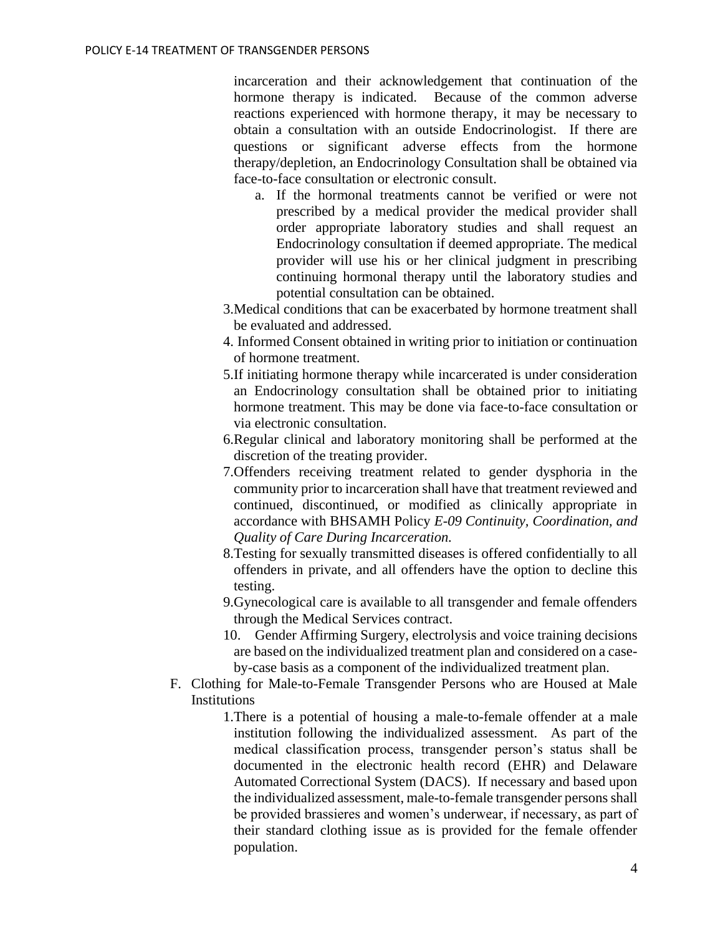incarceration and their acknowledgement that continuation of the hormone therapy is indicated. Because of the common adverse reactions experienced with hormone therapy, it may be necessary to obtain a consultation with an outside Endocrinologist. If there are questions or significant adverse effects from the hormone therapy/depletion, an Endocrinology Consultation shall be obtained via face-to-face consultation or electronic consult.

- a. If the hormonal treatments cannot be verified or were not prescribed by a medical provider the medical provider shall order appropriate laboratory studies and shall request an Endocrinology consultation if deemed appropriate. The medical provider will use his or her clinical judgment in prescribing continuing hormonal therapy until the laboratory studies and potential consultation can be obtained.
- 3.Medical conditions that can be exacerbated by hormone treatment shall be evaluated and addressed.
- 4. Informed Consent obtained in writing prior to initiation or continuation of hormone treatment.
- 5.If initiating hormone therapy while incarcerated is under consideration an Endocrinology consultation shall be obtained prior to initiating hormone treatment. This may be done via face-to-face consultation or via electronic consultation.
- 6.Regular clinical and laboratory monitoring shall be performed at the discretion of the treating provider.
- 7.Offenders receiving treatment related to gender dysphoria in the community prior to incarceration shall have that treatment reviewed and continued, discontinued, or modified as clinically appropriate in accordance with BHSAMH Policy *E-09 Continuity, Coordination, and Quality of Care During Incarceration.*
- 8.Testing for sexually transmitted diseases is offered confidentially to all offenders in private, and all offenders have the option to decline this testing.
- 9.Gynecological care is available to all transgender and female offenders through the Medical Services contract.
- 10. Gender Affirming Surgery, electrolysis and voice training decisions are based on the individualized treatment plan and considered on a caseby-case basis as a component of the individualized treatment plan.
- F. Clothing for Male-to-Female Transgender Persons who are Housed at Male Institutions
	- 1.There is a potential of housing a male-to-female offender at a male institution following the individualized assessment. As part of the medical classification process, transgender person's status shall be documented in the electronic health record (EHR) and Delaware Automated Correctional System (DACS). If necessary and based upon the individualized assessment, male-to-female transgender persons shall be provided brassieres and women's underwear, if necessary, as part of their standard clothing issue as is provided for the female offender population.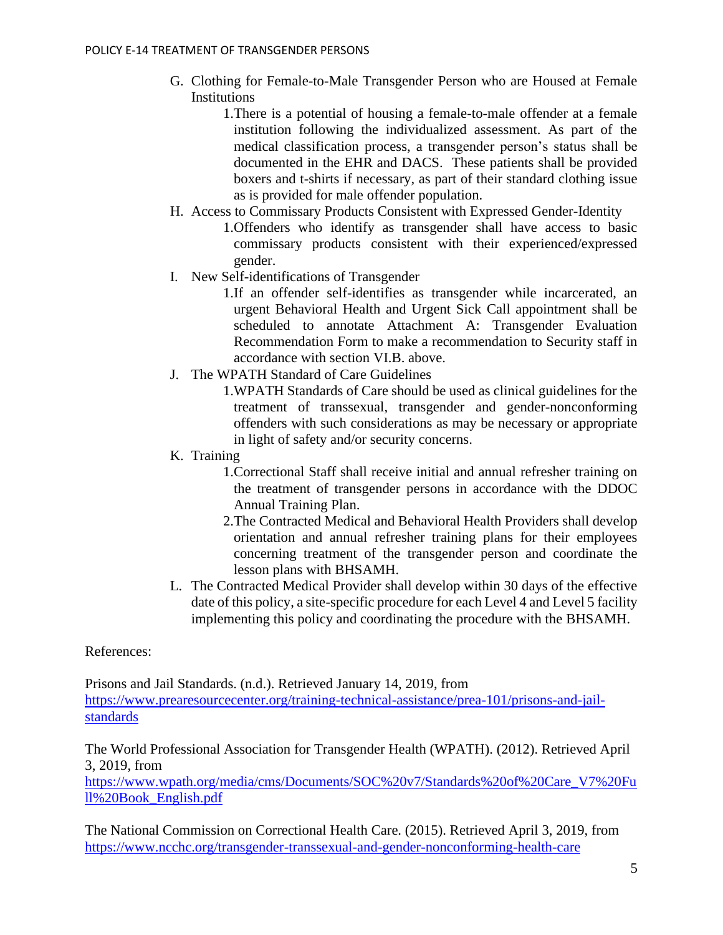- G. Clothing for Female-to-Male Transgender Person who are Housed at Female Institutions
	- 1.There is a potential of housing a female-to-male offender at a female institution following the individualized assessment. As part of the medical classification process, a transgender person's status shall be documented in the EHR and DACS. These patients shall be provided boxers and t-shirts if necessary, as part of their standard clothing issue as is provided for male offender population.
- H. Access to Commissary Products Consistent with Expressed Gender-Identity
	- 1.Offenders who identify as transgender shall have access to basic commissary products consistent with their experienced/expressed gender.
- I. New Self-identifications of Transgender
	- 1.If an offender self-identifies as transgender while incarcerated, an urgent Behavioral Health and Urgent Sick Call appointment shall be scheduled to annotate Attachment A: Transgender Evaluation Recommendation Form to make a recommendation to Security staff in accordance with section VI.B. above.
- J. The WPATH Standard of Care Guidelines
	- 1.WPATH Standards of Care should be used as clinical guidelines for the treatment of transsexual, transgender and gender-nonconforming offenders with such considerations as may be necessary or appropriate in light of safety and/or security concerns.
- K. Training
	- 1.Correctional Staff shall receive initial and annual refresher training on the treatment of transgender persons in accordance with the DDOC Annual Training Plan.
	- 2.The Contracted Medical and Behavioral Health Providers shall develop orientation and annual refresher training plans for their employees concerning treatment of the transgender person and coordinate the lesson plans with BHSAMH.
- L. The Contracted Medical Provider shall develop within 30 days of the effective date of this policy, a site-specific procedure for each Level 4 and Level 5 facility implementing this policy and coordinating the procedure with the BHSAMH.

References:

Prisons and Jail Standards. (n.d.). Retrieved January 14, 2019, from [https://www.prearesourcecenter.org/training-technical-assistance/prea-101/prisons-and-jail](https://www.prearesourcecenter.org/training-technical-assistance/prea-101/prisons-and-jail-standards)[standards](https://www.prearesourcecenter.org/training-technical-assistance/prea-101/prisons-and-jail-standards)

The World Professional Association for Transgender Health (WPATH). (2012). Retrieved April 3, 2019, from

[https://www.wpath.org/media/cms/Documents/SOC%20v7/Standards%20of%20Care\\_V7%20Fu](https://www.wpath.org/media/cms/Documents/SOC%20v7/Standards%20of%20Care_V7%20Full%20Book_English.pdf) [ll%20Book\\_English.pdf](https://www.wpath.org/media/cms/Documents/SOC%20v7/Standards%20of%20Care_V7%20Full%20Book_English.pdf)

The National Commission on Correctional Health Care. (2015). Retrieved April 3, 2019, from <https://www.ncchc.org/transgender-transsexual-and-gender-nonconforming-health-care>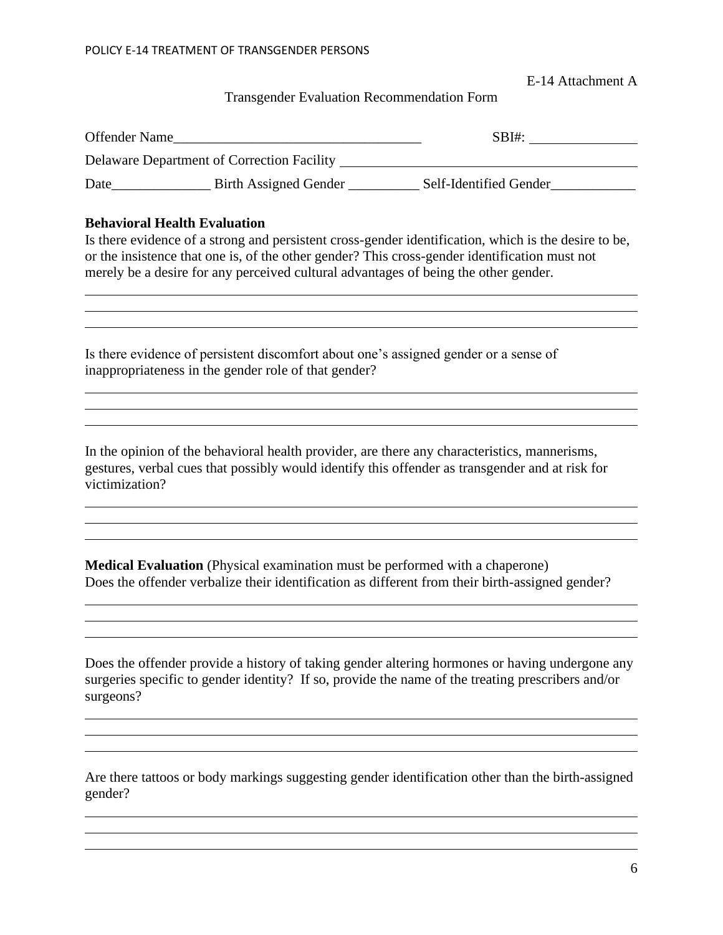E-14 Attachment A

## Transgender Evaluation Recommendation Form

| Offender Name |                                            | SBI#                   |
|---------------|--------------------------------------------|------------------------|
|               | Delaware Department of Correction Facility |                        |
| Date          | <b>Birth Assigned Gender</b>               | Self-Identified Gender |

#### **Behavioral Health Evaluation**

Is there evidence of a strong and persistent cross-gender identification, which is the desire to be, or the insistence that one is, of the other gender? This cross-gender identification must not merely be a desire for any perceived cultural advantages of being the other gender.

Is there evidence of persistent discomfort about one's assigned gender or a sense of inappropriateness in the gender role of that gender?

In the opinion of the behavioral health provider, are there any characteristics, mannerisms, gestures, verbal cues that possibly would identify this offender as transgender and at risk for victimization?

**Medical Evaluation** (Physical examination must be performed with a chaperone) Does the offender verbalize their identification as different from their birth-assigned gender?

Does the offender provide a history of taking gender altering hormones or having undergone any surgeries specific to gender identity? If so, provide the name of the treating prescribers and/or surgeons?

Are there tattoos or body markings suggesting gender identification other than the birth-assigned gender?